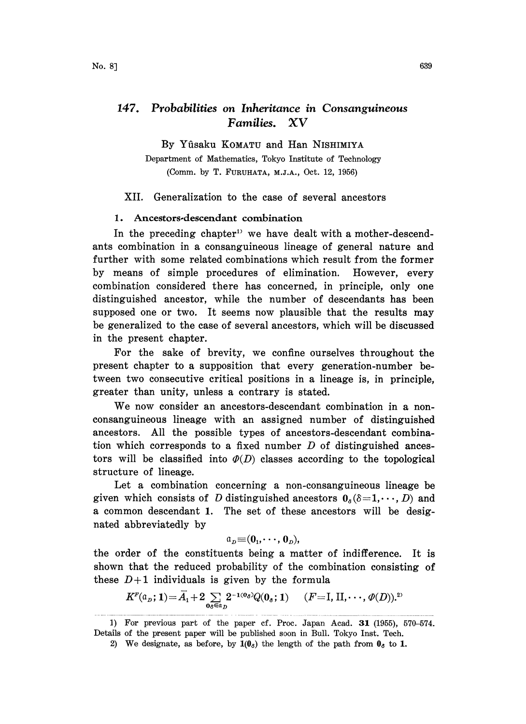# 147. Probabilities on Inheritance in Consanguineous Families. XV

By Yûsaku KOMATU and Han NISHIMIYA

Department of Mathematics, Tokyo Institute of Technology (Comm. by T. FURUHATA, M.J.A., Oct. 12, 1956)

## XII. Generalization to the case of several ancestors

### 1. Ancestors-descendant combination

In the preceding chapter<sup>1)</sup> we have dealt with a mother-descendants combination in a consanguineous lineage of general nature and further with some related combinations which result from the former by means of simple procedures of elimination. However, every combination considered there has concerned, in principle, only one distinguished ancestor, while the number of descendants has been supposed one or two. It seems now plausible that the results may be generalized to the case of several ancestors, which will be discussed in the present chapter.

For the sake of brevity, we confine ourselves throughout the present chapter to a supposition that every generation-number between two consecutive critical positions in a lineage is, in principle, greater than unity, unless a contrary is stated.

We now consider an ancestors-descendant combination in <sup>a</sup> nonconsanguineous lineage with an assigned number of distinguished ancestors. All the possible types of ancestors-descendant combination which corresponds to a fixed number  $D$  of distinguished ancestors will be classified into  $\varPhi(D)$  classes according to the topological structure of lineage.

Let a combination concerning a non-consanguineous lineage be given which consists of D distinguished ancestors  $0<sub>s</sub>(\delta=1,\dots, D)$  and a common descendant 1. The set of these ancestors will be designated abbreviatedly by

$$
\mathfrak{a}_p\hspace{-2pt}=\hspace{-2pt}( \mathbf{0}_1,\hspace{-1pt}\cdot\hspace{-1pt}\cdot\hspace{-1pt}, \mathbf{0}_p),
$$

the order of the constituents being a matter of indifference. It is shown that the reduced probability of the combination consisting of these  $D+1$  individuals is given by the formula

$$
K^{\mathbb{F}}(\mathfrak{a}_D; 1) = \overline{A}_1 + 2 \sum_{\mathfrak{d}_\delta \in \mathfrak{a}_D} 2^{-100\delta} Q(\mathfrak{d}_\delta; 1) \qquad (F = \mathbf{I}, \mathbf{II}, \cdots, \mathfrak{D}(D)).^{2}
$$

<sup>1)</sup> For previous part of the paper cf. Proc. Japan Acad. 31 (1955), 570-574. Details of the present paper will be published soon in Bull. Tokyo Inst. Tech.

<sup>2)</sup> We designate, as before, by  $1(0<sub>o</sub>)$  the length of the path from  $0<sub>o</sub>$  to 1.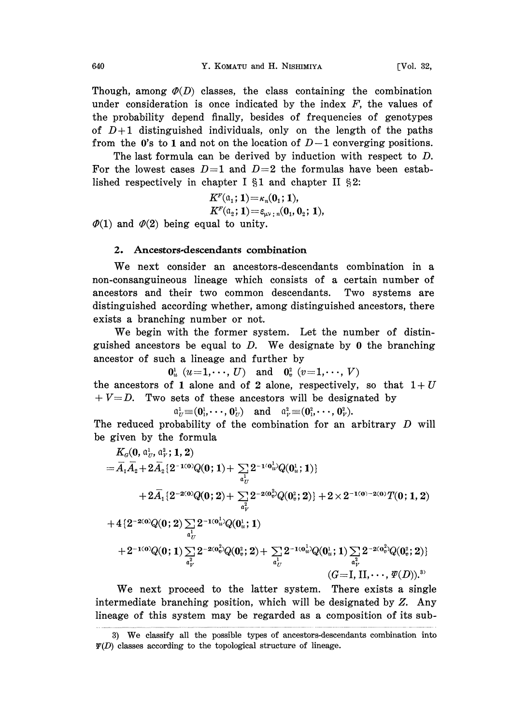Though, among  $\varphi(D)$  classes, the class containing the combination under consideration is once indicated by the index  $F$ , the values of the probability depend finally, besides of frequencies of genotypes of  $D+1$  distinguished individuals, only on the length of the paths from the 0's to 1 and not on the location of  $D-1$  converging positions.

The last formula can be derived by induction with respect to D. For the lowest cases  $D=1$  and  $D=2$  the formulas have been established respectively in chapter I  $\S1$  and chapter II  $\S2$ :

$$
\begin{array}{l} K^{\scriptscriptstyle F}({\scriptstyle \alpha_{1}};\,1)\!=\!\kappa_{\scriptscriptstyle n}({\scriptstyle \alpha_{1}};\,1), \\ K^{\scriptscriptstyle F}({\scriptstyle \alpha_{2}};\,1)\!=\!\varepsilon_{\scriptscriptstyle \mu\nu\,;\,n}({\scriptstyle \alpha_{1}},{\scriptstyle \alpha_{2}};\,1),\end{array}
$$

 $\varPhi(1)$  and  $\varPhi(2)$  being equal to unity.

## 2. Ancestors-descendants combination

We next consider an ancestors-descendants combination in <sup>a</sup> non-consanguineous lineage which consists of a certain number of ancestors and their two common descendants. Two systems are distinguished according whether, among distinguished ancestors, there exists a branching number or not.

We begin with the former system. Let the number of distinguished ancestors be equal to  $D$ . We designate by 0 the branching ancestor of such a lineage and further by

 $0^1_u$   $(u=1,\dots,U)$  and  $0^2_v$   $(v=1,\dots,V)$ the ancestors of 1 alone and of 2 alone, respectively, so that  $1+U$  $+ V=D$ . Two sets of these ancestors will be designated by

$$
\mathfrak{a}_U^1 \equiv (\mathbf{0}_1^1, \cdots, \mathbf{0}_U^1) \quad \text{and} \quad \mathfrak{a}_V^2 \equiv (\mathbf{0}_1^2, \cdots, \mathbf{0}_V^2).
$$

The reduced probability of the combination for an arbitrary D will be given by the formula

$$
K_{\mathcal{G}}(0, \mathfrak{a}_{U}^{1}, \mathfrak{a}_{V}^{2}; 1, 2) = \overline{A}_{1}\overline{A}_{2} + 2\overline{A}_{2}\lbrace 2^{-1(0)}Q(0; 1) + \sum_{\substack{\mathfrak{a}^{1}_{U} \\ \mathfrak{a}^{1}_{U}}} 2^{-1(0^{1}_{u})}Q(0^{1}_{u}; 1) \rbrace + 2\overline{A}_{1}\lbrace 2^{-2(0)}Q(0; 2) + \sum_{\substack{\mathfrak{a}^{2}_{V} \\ \mathfrak{a}^{2}_{V}}} 2^{-2(0^{2}_{v})}Q(0^{2}_{v}; 2) \rbrace + 2 \times 2^{-1(0) - 2(0)}T(0; 1, 2) + 4\lbrace 2^{-2(0)}Q(0; 2) \sum_{\substack{\mathfrak{a}^{1}_{U} \\ \mathfrak{a}^{1}_{U}}} 2^{-1(0^{1}_{u})}Q(0^{1}_{u}; 1) + 2^{-1(0)}Q(0; 1) \sum_{\substack{\mathfrak{a}^{2}_{V} \\ \mathfrak{a}^{2}_{V}}} 2^{-2(0^{2}_{v})}Q(0^{2}_{v}; 2) + \sum_{\substack{\mathfrak{a}^{1}_{U} \\ \mathfrak{a}^{1}_{U}}} 2^{-1(0^{1}_{u})}Q(0^{1}_{u}; 1) \sum_{\substack{\mathfrak{a}^{2}_{V} \\ \mathfrak{a}^{2}_{V}}} 2^{-2(0^{2}_{v})}Q(0^{2}_{v}; 2) \rbrace (G = I, II, \cdots, \varPsi(D)).^{3)}
$$

We next proceed to the latter system. There exists <sup>a</sup> single intermediate branching position, which will be designated by Z. Any lineage of this system may be regarded as a composition of its sub-

<sup>3)</sup> We classify all the possible types of ancestors-descendants combination into  $\Psi(D)$  classes according to the topological structure of lineage.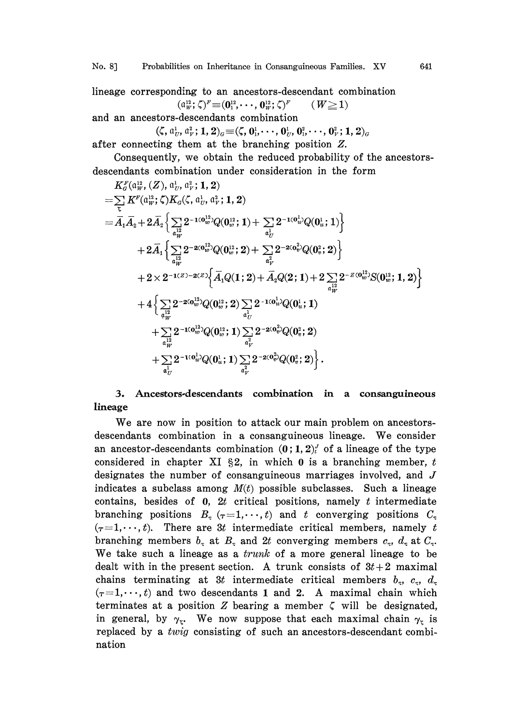lineage corresponding to an ancestors-descendant combination  $(a_w^{12}; \zeta)^F \equiv (0_1^{12}, \cdots, 0_W^{12}; \zeta)^F$   $(W \ge 1)$ 

and an ancestors-descendants combination

$$
(\zeta, a_U^1, a_V^2; 1, 2)_{\sigma} \equiv (\zeta, 0_1^1, \dots, 0_U^1, 0_1^2, \dots, 0_V^2; 1, 2)_{\sigma}
$$
  
after connecting them at the branching position Z.

Consequently, we obtain the reduced probability of the ancestors-

descentants combination under consideration in the form  
\n
$$
K_{\sigma}^{F}(\mathbf{u}_{W}^{12}, (Z), \mathbf{u}_{U}^{1}, \mathbf{u}_{V}^{2}; \mathbf{1}, 2)
$$
\n
$$
= \sum_{\zeta} K^{F}(\mathbf{a}_{W}^{12}; \zeta) K_{\sigma}(\zeta, \mathbf{u}_{U}^{1}, \mathbf{u}_{V}^{2}; \mathbf{1}, 2)
$$
\n
$$
= \overline{A}_{1} \overline{A}_{2} + 2 \overline{A}_{2} \Big\{ \sum_{\substack{a|W \\ a_{W}^{12}}} 2^{-100_{w}^{12}} Q(0_{w}^{12}; 1) + \sum_{a_{U}^{12}} 2^{-100_{w}^{12}} Q(0_{u}^{1}; 1) \Big\}
$$
\n
$$
+ 2 \overline{A}_{1} \Big\{ \sum_{\substack{a|W \\ a_{W}^{12}}} 2^{-200_{w}^{12}} Q(0_{w}^{12}; 2) + \sum_{\substack{a|W \\ a_{V}^{2}}} 2^{-200_{w}^{22}} Q(0_{w}^{2}; 2) \Big\}
$$
\n
$$
+ 2 \times 2^{-1(Z)-2(Z)} \Big\{ \overline{A}_{1} Q(1; 2) + \overline{A}_{2} Q(2; 1) + 2 \sum_{\substack{a|W \\ a_{W}^{12}}} 2^{-Z(0_{w}^{12})} S(0_{w}^{12}; 1, 2) \Big\}
$$
\n
$$
+ 4 \Big\{ \sum_{\substack{a|W \\ a_{W}^{12}}} 2^{-200_{w}^{12}} Q(0_{w}^{12}; 2) \sum_{\substack{a|U \\ a_{V}^{12}}} 2^{-100_{w}^{12}} Q(0_{w}^{12}; 1) \Big\} \Big\{ 2^{-200_{w}^{22}} Q(0_{w}^{2}; 2) + \sum_{\substack{a|W \\ a_{V}^{12}}} 2^{-100_{w}^{12}} Q(0_{w}^{1}; 1) \sum_{\substack{a|W \\ a_{V}^{2}}} 2^{-200_{w}^{22}} Q(0_{v}^{2}; 2) \Big\}.
$$

## 3. Ancestors-descendants combination in a consanguineous lineage

We are now in position to attack our main problem on ancestorsdescendants combination in <sup>a</sup> consanguineous lineage. We consider an ancestor-descendants combination  $(0, 1, 2)$  of a lineage of the type considered in chapter XI  $\S 2$ , in which 0 is a branching member, t designates the number of consanguineous marriages involved, and J indicates a subclass among  $M(t)$  possible subclasses. Such a lineage contains, besides of  $0$ ,  $2t$  critical positions, namely  $t$  intermediate branching positions  $B<sub>z</sub>$  ( $\tau=1,\dots,t$ ) and t converging positions  $C<sub>z</sub>$  $(\tau=1,\dots,t)$ . There are 3t intermediate critical members, namely t branching members  $b<sub>x</sub>$  at  $B<sub>z</sub>$  and 2t converging members  $c<sub>x</sub>$ ,  $d<sub>x</sub>$  at  $C<sub>x</sub>$ . We take such a lineage as a *trunk* of a more general lineage to be dealt with in the present section. A trunk consists of  $3t+2$  maximal chains terminating at 3t intermediate critical members  $b_x$ ,  $c_x$ ,  $d_x$  $(\tau=1,\dots,t)$  and two descendants 1 and 2. A maximal chain which terminates at a position  $Z$  bearing a member  $\zeta$  will be designated, in general, by  $\gamma_{\tau}$ . We now suppose that each maximal chain  $\gamma_{\tau}$  is replaced by a twig consisting of such an ancestors-descendant combination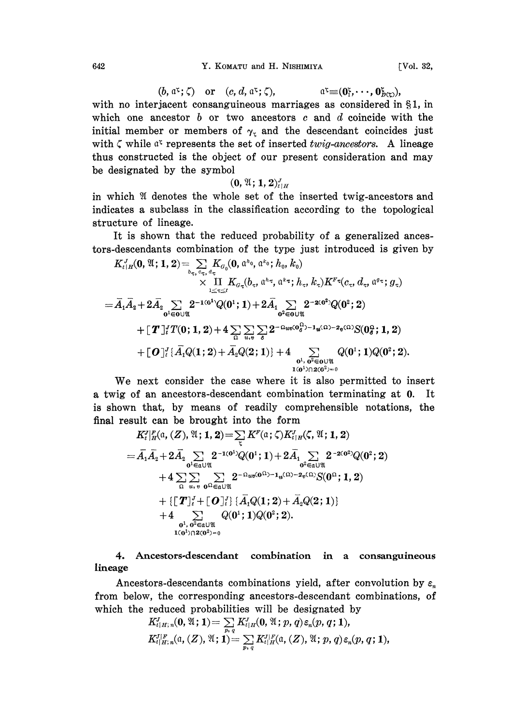### 642 Y. KOMATU and H. NISHIMIYA [Vol. 32,

 $(b, \mathfrak{a}^{\mathfrak{c}}; \zeta)$  or  $(c, d, \mathfrak{a}^{\mathfrak{c}}; \zeta)$ ,  $\mathfrak{a}^{\mathfrak{c}} \equiv (\mathbf{0}^{\mathfrak{c}}_1, \cdots, \mathbf{0}^{\mathfrak{c}}_{p(\mathfrak{c})})$ , with no interjacent consanguineous marriages as considered in  $\S1$ , in which one ancestor b or two ancestors c and d coincide with the initial member or members of  $\gamma_r$  and the descendant coincides just with  $\zeta$  while  $a^{\zeta}$  represents the set of inserted twig-ancestors. A lineage thus constructed is the object of our present consideration and may be designated by the symbol

$$
(\mathbf{0},\mathfrak{A};\mathbf{1},\mathbf{2})_{t\mid H}^{J}
$$

in which  $\mathfrak A$  denotes the whole set of the inserted twig-ancestors and indicates a subclass in the classification according to the topological structure of lineage.

It is shown that the reduced probability of a generalized ancestors-descendants combination of the type just introduced is given by

$$
K_{t|H}^J(\mathbf{0}, \mathfrak{A}; \mathbf{1}, \mathbf{2}) = \sum_{b_{\tau}, c_{\tau}, d_{\tau}} K_{G_0}(\mathbf{0}, a^{h_0}, a^{k_0}; h_0, k_0) \times \prod_{1 \leq \tau \leq t} K_{G_{\tau}}(b_{\tau}, a^{h_{\tau}}, a^{k_{\tau}}; h_{\tau}, k_{\tau}) K^{F \tau}(c_{\tau}, d_{\tau}, a^{g_{\tau}}; g_{\tau}) = \bar{A}_1 \bar{A}_2 + 2 \bar{A}_2 \sum_{\mathbf{0}^1 \in \mathbf{0} \cup \mathfrak{A}} 2^{-1(\mathbf{0}^1)} Q(\mathbf{0}^1; \mathbf{1}) + 2 \bar{A}_1 \sum_{\mathbf{0}^2 \in \mathbf{0} \cup \mathfrak{A}} 2^{-2(\mathbf{0}^2)} Q(\mathbf{0}^2; \mathbf{2}) + \left[ \boldsymbol{T} \right]_{t}^{T} T(\mathbf{0}; \mathbf{1}, \mathbf{2}) + 4 \sum_{\Omega} \sum_{u, \mathbf{0}} \sum_{\sigma} 2^{-\Omega_{uv}(\mathbf{0}_0^{\Omega}) - 1} u^{(\Omega) - 2} e^{(\Omega)} S(\mathbf{0}_0^{\Omega}; \mathbf{1}, \mathbf{2}) + \left[ \boldsymbol{O} \right]_{t}^{T} \left\{ \bar{A}_1 Q(\mathbf{1}; \mathbf{2}) + \bar{A}_2 Q(\mathbf{2}; \mathbf{1}) \right\} + 4 \sum_{\mathbf{0}^1, \mathbf{0}^2 \in \mathbf{0} \cup \mathfrak{A}} Q(\mathbf{0}^1; \mathbf{1}) Q(\mathbf{0}^2; \mathbf{2}).
$$

We next consider the case where it is also permitted to insert a twig of an ancestors-descendant combination terminating at 0. It is shown that, by means of readily comprehensible notations, the final result can be brought into the form

$$
K_{t}^{J} \big|_{H}^{F}(\mathfrak{a},(Z), \mathfrak{A}; \mathbf{1}, \mathbf{2}) = \sum_{\zeta} K^{F}(\mathfrak{a}; \zeta) K_{t|H}^{J}(\zeta, \mathfrak{A}; \mathbf{1}, \mathbf{2})
$$
\n
$$
= \bar{A}_{1} \bar{A}_{2} + 2 \bar{A}_{2} \sum_{\mathfrak{0}^{1} \in \mathfrak{a} \cup \mathfrak{A}} 2^{-1(\mathfrak{0}^{1})} Q(\mathfrak{0}^{1}; \mathbf{1}) + 2 \bar{A}_{1} \sum_{\mathfrak{0}^{2} \in \mathfrak{a} \cup \mathfrak{A}} 2^{-2(\mathfrak{0}^{2})} Q(\mathfrak{0}^{2}; \mathbf{2})
$$
\n
$$
+ 4 \sum_{\mathfrak{0}} \sum_{u,v} \sum_{\mathfrak{0}} \sum_{\mathfrak{0}^{2} \in \mathfrak{a} \cup \mathfrak{A}} 2^{-\Omega_{uv}(\mathfrak{0}^{1}) - 1} u^{(\mathfrak{0}) - 2} v^{(\mathfrak{0})} S(\mathfrak{0}^{1}; \mathbf{1}, \mathbf{2})
$$
\n
$$
+ \{ [\mathbf{T}]_{t}^{J} + [\mathbf{O}]_{t}^{J} \} \{ \bar{A}_{1} Q(\mathbf{1}; \mathbf{2}) + \bar{A}_{2} Q(\mathbf{2}; \mathbf{1}) \}
$$
\n
$$
+ 4 \sum_{\mathfrak{0}^{1}, \mathfrak{0}^{2} \in \mathfrak{a} \cup \mathfrak{A}} Q(\mathfrak{0}^{1}; \mathbf{1}) Q(\mathfrak{0}^{2}; \mathbf{2}).
$$

4. Ancestors-descendant combination in a consanguineous lineage

Ancestors-descendants combinations yield, after convolution by  $\varepsilon_n$ from below, the corresponding ancestors-descendant combinations, of which the reduced probabilities will be designated by

$$
K_{t|H;\,n}^J(0,\mathfrak{A};1)=\sum_{p,\,q}K_{t|H}^J(0,\mathfrak{A};p,q)\,\varepsilon_n(p,q;1),\\K_{t|H;\,n}^J(\mathfrak{a},(Z),\mathfrak{A};1)=\sum_{p,\,q}K_{t|H}^J(\mathfrak{a},(Z),\mathfrak{A};p,q)\,\varepsilon_n(p,q;1),
$$